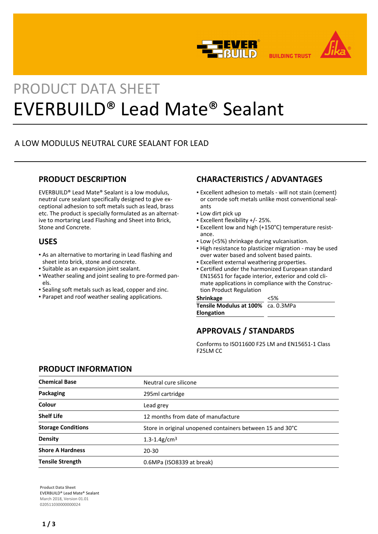



# PRODUCT DATA SHEET EVERBUILD® Lead Mate® Sealant

# A LOW MODULUS NEUTRAL CURE SEALANT FOR LEAD

## **PRODUCT DESCRIPTION**

EVERBUILD® Lead Mate® Sealant is a low modulus, neutral cure sealant specifically designed to give exceptional adhesion to soft metals such as lead, brass etc. The product is specially formulated as an alternative to mortaring Lead Flashing and Sheet into Brick, Stone and Concrete.

## **USES**

- As an alternative to mortaring in Lead flashing and sheet into brick, stone and concrete.
- Suitable as an expansion joint sealant.
- Weather sealing and joint sealing to pre-formed pan-▪ els.
- Sealing soft metals such as lead, copper and zinc.
- Parapet and roof weather sealing applications.

# **CHARACTERISTICS / ADVANTAGES**

- Excellent adhesion to metals will not stain (cement) or corrode soft metals unlike most conventional sealants
- **.** Low dirt pick up
- Excellent flexibility +/- 25%.
- Excellent low and high (+150°C) temperature resist-▪ ance.
- Low (<5%) shrinkage during vulcanisation.
- **High resistance to plasticizer migration may be used** over water based and solvent based paints.
- **Excellent external weathering properties.**
- Certified under the harmonized European standard EN15651 for façade interior, exterior and cold climate applications in compliance with the Construction Product Regulation

| <b>Shrinkage</b>                          | &5% |
|-------------------------------------------|-----|
| <b>Tensile Modulus at 100%</b> ca. 0.3MPa |     |
| Elongation                                |     |

# **APPROVALS / STANDARDS**

Conforms to ISO11600 F25 LM and EN15651-1 Class F25LM CC

## **PRODUCT INFORMATION**

| <b>Chemical Base</b>      | Neutral cure silicone                                     |
|---------------------------|-----------------------------------------------------------|
| Packaging                 | 295ml cartridge                                           |
| Colour                    | Lead grey                                                 |
| <b>Shelf Life</b>         | 12 months from date of manufacture                        |
| <b>Storage Conditions</b> | Store in original unopened containers between 15 and 30°C |
| <b>Density</b>            | 1.3-1.4g/cm <sup>3</sup>                                  |
| <b>Shore A Hardness</b>   | 20-30                                                     |
| <b>Tensile Strength</b>   | 0.6MPa (ISO8339 at break)                                 |

**Product Data Sheet** EVERBUILD® Lead Mate® Sealant March 2018, Version 01.01 020511030000000024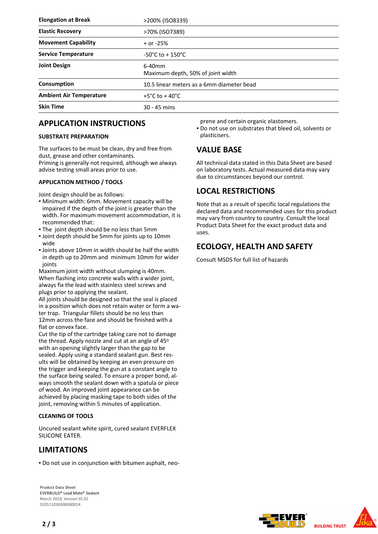| <b>Elongation at Break</b>     | >200% (ISO8339)                                |
|--------------------------------|------------------------------------------------|
| <b>Elastic Recovery</b>        | >70% (ISO7389)                                 |
| <b>Movement Capability</b>     | $+$ or -25%                                    |
| <b>Service Temperature</b>     | $-50^{\circ}$ C to + 150 $^{\circ}$ C          |
| <b>Joint Design</b>            | $6-40$ mm<br>Maximum depth, 50% of joint width |
| Consumption                    | 10.5 linear meters as a 6mm diameter bead      |
| <b>Ambient Air Temperature</b> | +5°C to + 40°C                                 |
| <b>Skin Time</b>               | $30 - 45$ mins                                 |

## **APPLICATION INSTRUCTIONS**

## **SUBSTRATE PREPARATION**

The surfaces to be must be clean, dry and free from dust, grease and other contaminants. Priming is generally not required, although we always advise testing small areas prior to use.

### **APPLICATION METHOD / TOOLS**

Joint design should be as follows:

- Minimum width: 6mm. Movement capacity will be impaired if the depth of the joint is greater than the width. For maximum movement accommodation, it is recommended that:
- . The joint depth should be no less than 5mm
- Joint depth should be 5mm for joints up to 10mm wide
- Joints above 10mm in width should be half the width in depth up to 20mm and minimum 10mm for wider joints

Maximum joint width without slumping is 40mm. When flashing into concrete walls with a wider joint, always fix the lead with stainless steel screws and plugs prior to applying the sealant.

All joints should be designed so that the seal is placed in a position which does not retain water or form a water trap. Triangular fillets should be no less than 12mm across the face and should be finished with a flat or convex face.

Cut the tip of the cartridge taking care not to damage the thread. Apply nozzle and cut at an angle of 45o with an opening slightly larger than the gap to be sealed. Apply using a standard sealant gun. Best results will be obtained by keeping an even pressure on the trigger and keeping the gun at a constant angle to the surface being sealed. To ensure a proper bond, always smooth the sealant down with a spatula or piece of wood. An improved joint appearance can be achieved by placing masking tape to both sides of the joint, removing within 5 minutes of application.

## **CLEANING OF TOOLS**

Uncured sealant white spirit, cured sealant EVERFLEX SILICONE EATER.

## **LIMITATIONS**

▪ Do not use in conjunction with bitumen asphalt, neo-

**Product Data Sheet** EVERBUILD® Lead Mate® Sealant March 2018, Version 01.01 020511030000000024

prene and certain organic elastomers.

Do not use on substrates that bleed oil, solvents or ▪ plasticisers.

## **VALUE BASE**

All technical data stated in this Data Sheet are based on laboratory tests. Actual measured data may vary due to circumstances beyond our control.

## **LOCAL RESTRICTIONS**

Note that as a result of specific local regulations the declared data and recommended uses for this product may vary from country to country. Consult the local Product Data Sheet for the exact product data and uses.

## **ECOLOGY, HEALTH AND SAFETY**

Consult MSDS for full list of hazards